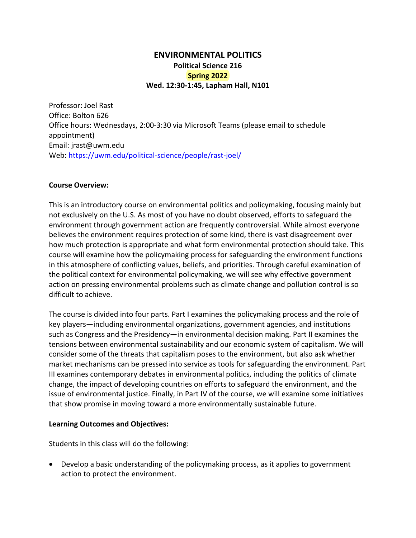# **ENVIRONMENTAL POLITICS Political Science 216 Spring 2022 Wed. 12:30‐1:45, Lapham Hall, N101**

Professor: Joel Rast Office: Bolton 626 Office hours: Wednesdays, 2:00‐3:30 via Microsoft Teams (please email to schedule appointment) Email: jrast@uwm.edu Web: https://uwm.edu/political‐science/people/rast‐joel/

## **Course Overview:**

This is an introductory course on environmental politics and policymaking, focusing mainly but not exclusively on the U.S. As most of you have no doubt observed, efforts to safeguard the environment through government action are frequently controversial. While almost everyone believes the environment requires protection of some kind, there is vast disagreement over how much protection is appropriate and what form environmental protection should take. This course will examine how the policymaking process for safeguarding the environment functions in this atmosphere of conflicting values, beliefs, and priorities. Through careful examination of the political context for environmental policymaking, we will see why effective government action on pressing environmental problems such as climate change and pollution control is so difficult to achieve.

The course is divided into four parts. Part I examines the policymaking process and the role of key players—including environmental organizations, government agencies, and institutions such as Congress and the Presidency—in environmental decision making. Part II examines the tensions between environmental sustainability and our economic system of capitalism. We will consider some of the threats that capitalism poses to the environment, but also ask whether market mechanisms can be pressed into service as tools for safeguarding the environment. Part III examines contemporary debates in environmental politics, including the politics of climate change, the impact of developing countries on efforts to safeguard the environment, and the issue of environmental justice. Finally, in Part IV of the course, we will examine some initiatives that show promise in moving toward a more environmentally sustainable future.

## **Learning Outcomes and Objectives:**

Students in this class will do the following:

 Develop a basic understanding of the policymaking process, as it applies to government action to protect the environment.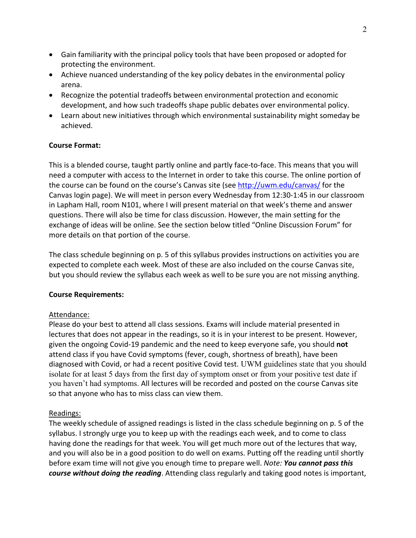- Gain familiarity with the principal policy tools that have been proposed or adopted for protecting the environment.
- Achieve nuanced understanding of the key policy debates in the environmental policy arena.
- Recognize the potential tradeoffs between environmental protection and economic development, and how such tradeoffs shape public debates over environmental policy.
- Learn about new initiatives through which environmental sustainability might someday be achieved.

## **Course Format:**

This is a blended course, taught partly online and partly face‐to‐face. This means that you will need a computer with access to the Internet in order to take this course. The online portion of the course can be found on the course's Canvas site (see http://uwm.edu/canvas/ for the Canvas login page). We will meet in person every Wednesday from 12:30‐1:45 in our classroom in Lapham Hall, room N101, where I will present material on that week's theme and answer questions. There will also be time for class discussion. However, the main setting for the exchange of ideas will be online. See the section below titled "Online Discussion Forum" for more details on that portion of the course.

The class schedule beginning on p. 5 of this syllabus provides instructions on activities you are expected to complete each week. Most of these are also included on the course Canvas site, but you should review the syllabus each week as well to be sure you are not missing anything.

## **Course Requirements:**

# Attendance:

Please do your best to attend all class sessions. Exams will include material presented in lectures that does not appear in the readings, so it is in your interest to be present. However, given the ongoing Covid‐19 pandemic and the need to keep everyone safe, you should **not** attend class if you have Covid symptoms (fever, cough, shortness of breath), have been diagnosed with Covid, or had a recent positive Covid test. UWM guidelines state that you should isolate for at least 5 days from the first day of symptom onset or from your positive test date if you haven't had symptoms. All lectures will be recorded and posted on the course Canvas site so that anyone who has to miss class can view them.

# Readings:

The weekly schedule of assigned readings is listed in the class schedule beginning on p. 5 of the syllabus. I strongly urge you to keep up with the readings each week, and to come to class having done the readings for that week. You will get much more out of the lectures that way, and you will also be in a good position to do well on exams. Putting off the reading until shortly before exam time will not give you enough time to prepare well. *Note: You cannot pass this course without doing the reading*. Attending class regularly and taking good notes is important,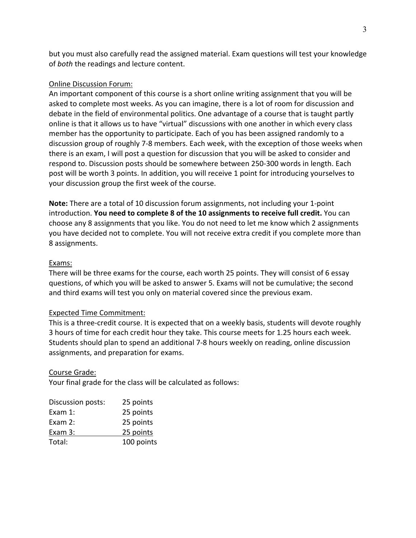but you must also carefully read the assigned material. Exam questions will test your knowledge of *both* the readings and lecture content.

## Online Discussion Forum:

An important component of this course is a short online writing assignment that you will be asked to complete most weeks. As you can imagine, there is a lot of room for discussion and debate in the field of environmental politics. One advantage of a course that is taught partly online is that it allows us to have "virtual" discussions with one another in which every class member has the opportunity to participate. Each of you has been assigned randomly to a discussion group of roughly 7‐8 members. Each week, with the exception of those weeks when there is an exam, I will post a question for discussion that you will be asked to consider and respond to. Discussion posts should be somewhere between 250‐300 words in length. Each post will be worth 3 points. In addition, you will receive 1 point for introducing yourselves to your discussion group the first week of the course.

**Note:** There are a total of 10 discussion forum assignments, not including your 1‐point introduction. **You need to complete 8 of the 10 assignments to receive full credit.** You can choose any 8 assignments that you like. You do not need to let me know which 2 assignments you have decided not to complete. You will not receive extra credit if you complete more than 8 assignments.

## Exams:

There will be three exams for the course, each worth 25 points. They will consist of 6 essay questions, of which you will be asked to answer 5. Exams will not be cumulative; the second and third exams will test you only on material covered since the previous exam.

## Expected Time Commitment:

This is a three‐credit course. It is expected that on a weekly basis, students will devote roughly 3 hours of time for each credit hour they take. This course meets for 1.25 hours each week. Students should plan to spend an additional 7‐8 hours weekly on reading, online discussion assignments, and preparation for exams.

## Course Grade:

Your final grade for the class will be calculated as follows:

| Discussion posts: | 25 points  |
|-------------------|------------|
| Exam $1$ :        | 25 points  |
| Exam $2:$         | 25 points  |
| Exam 3:           | 25 points  |
| Total:            | 100 points |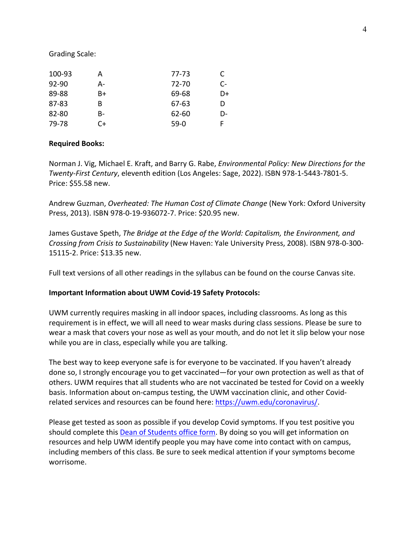#### Grading Scale:

| 100-93    | A  | 77-73     | C. |
|-----------|----|-----------|----|
| $92 - 90$ | А- | 72-70     | C- |
| 89-88     | B+ | 69-68     | D+ |
| $87 - 83$ | B  | 67-63     | D  |
| 82-80     | B- | $62 - 60$ | D- |
| 79-78     | C+ | $59-0$    | F  |

#### **Required Books:**

Norman J. Vig, Michael E. Kraft, and Barry G. Rabe, *Environmental Policy: New Directions for the Twenty‐First Century*, eleventh edition (Los Angeles: Sage, 2022). ISBN 978‐1‐5443‐7801‐5. Price: \$55.58 new.

Andrew Guzman, *Overheated: The Human Cost of Climate Change* (New York: Oxford University Press, 2013). ISBN 978‐0‐19‐936072‐7. Price: \$20.95 new.

James Gustave Speth, *The Bridge at the Edge of the World: Capitalism, the Environment, and Crossing from Crisis to Sustainability* (New Haven: Yale University Press, 2008). ISBN 978‐0‐300‐ 15115‐2. Price: \$13.35 new.

Full text versions of all other readings in the syllabus can be found on the course Canvas site.

#### **Important Information about UWM Covid‐19 Safety Protocols:**

UWM currently requires masking in all indoor spaces, including classrooms. As long as this requirement is in effect, we will all need to wear masks during class sessions. Please be sure to wear a mask that covers your nose as well as your mouth, and do not let it slip below your nose while you are in class, especially while you are talking.

The best way to keep everyone safe is for everyone to be vaccinated. If you haven't already done so, I strongly encourage you to get vaccinated—for your own protection as well as that of others. UWM requires that all students who are not vaccinated be tested for Covid on a weekly basis. Information about on-campus testing, the UWM vaccination clinic, and other Covidrelated services and resources can be found here: https://uwm.edu/coronavirus/.

Please get tested as soon as possible if you develop Covid symptoms. If you test positive you should complete this Dean of Students office form. By doing so you will get information on resources and help UWM identify people you may have come into contact with on campus, including members of this class. Be sure to seek medical attention if your symptoms become worrisome.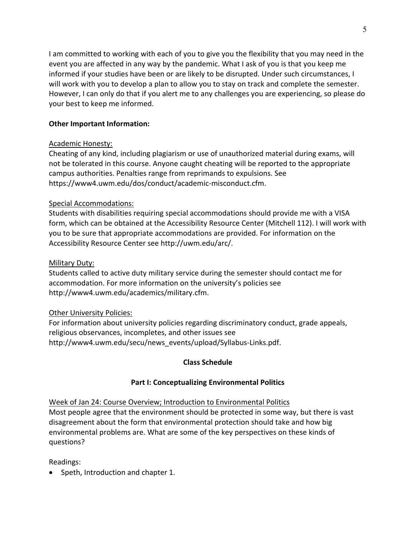I am committed to working with each of you to give you the flexibility that you may need in the event you are affected in any way by the pandemic. What I ask of you is that you keep me informed if your studies have been or are likely to be disrupted. Under such circumstances, I will work with you to develop a plan to allow you to stay on track and complete the semester. However, I can only do that if you alert me to any challenges you are experiencing, so please do your best to keep me informed.

# **Other Important Information:**

# Academic Honesty:

Cheating of any kind, including plagiarism or use of unauthorized material during exams, will not be tolerated in this course. Anyone caught cheating will be reported to the appropriate campus authorities. Penalties range from reprimands to expulsions. See https://www4.uwm.edu/dos/conduct/academic‐misconduct.cfm.

# Special Accommodations:

Students with disabilities requiring special accommodations should provide me with a VISA form, which can be obtained at the Accessibility Resource Center (Mitchell 112). I will work with you to be sure that appropriate accommodations are provided. For information on the Accessibility Resource Center see http://uwm.edu/arc/.

# Military Duty:

Students called to active duty military service during the semester should contact me for accommodation. For more information on the university's policies see http://www4.uwm.edu/academics/military.cfm.

# Other University Policies:

For information about university policies regarding discriminatory conduct, grade appeals, religious observances, incompletes, and other issues see http://www4.uwm.edu/secu/news\_events/upload/Syllabus‐Links.pdf.

# **Class Schedule**

# **Part I: Conceptualizing Environmental Politics**

Week of Jan 24: Course Overview; Introduction to Environmental Politics

Most people agree that the environment should be protected in some way, but there is vast disagreement about the form that environmental protection should take and how big environmental problems are. What are some of the key perspectives on these kinds of questions?

Readings:

• Speth, Introduction and chapter 1.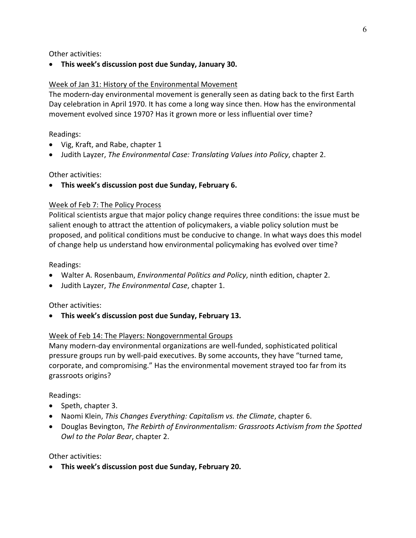Other activities:

**This week's discussion post due Sunday, January 30.** 

## Week of Jan 31: History of the Environmental Movement

The modern-day environmental movement is generally seen as dating back to the first Earth Day celebration in April 1970. It has come a long way since then. How has the environmental movement evolved since 1970? Has it grown more or less influential over time?

Readings:

- Vig, Kraft, and Rabe, chapter 1
- Judith Layzer, *The Environmental Case: Translating Values into Policy*, chapter 2.

Other activities:

**This week's discussion post due Sunday, February 6.**

## Week of Feb 7: The Policy Process

Political scientists argue that major policy change requires three conditions: the issue must be salient enough to attract the attention of policymakers, a viable policy solution must be proposed, and political conditions must be conducive to change. In what ways does this model of change help us understand how environmental policymaking has evolved over time?

## Readings:

- Walter A. Rosenbaum, *Environmental Politics and Policy*, ninth edition, chapter 2.
- Judith Layzer, *The Environmental Case*, chapter 1.

Other activities:

**This week's discussion post due Sunday, February 13.**

# Week of Feb 14: The Players: Nongovernmental Groups

Many modern‐day environmental organizations are well‐funded, sophisticated political pressure groups run by well‐paid executives. By some accounts, they have "turned tame, corporate, and compromising." Has the environmental movement strayed too far from its grassroots origins?

Readings:

- Speth, chapter 3.
- Naomi Klein, *This Changes Everything: Capitalism vs. the Climate*, chapter 6.
- Douglas Bevington, *The Rebirth of Environmentalism: Grassroots Activism from the Spotted Owl to the Polar Bear*, chapter 2.

Other activities:

**This week's discussion post due Sunday, February 20.**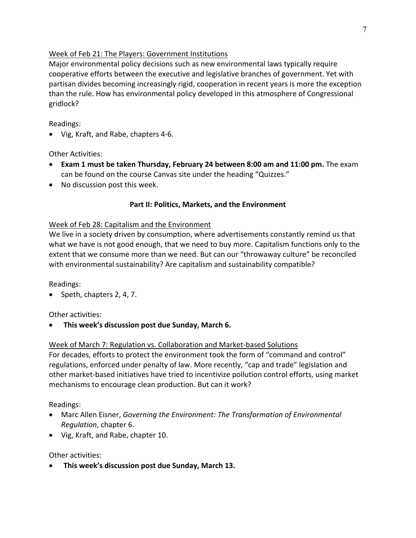# Week of Feb 21: The Players: Government Institutions

Major environmental policy decisions such as new environmental laws typically require cooperative efforts between the executive and legislative branches of government. Yet with partisan divides becoming increasingly rigid, cooperation in recent years is more the exception than the rule. How has environmental policy developed in this atmosphere of Congressional gridlock?

Readings:

● Vig, Kraft, and Rabe, chapters 4-6.

Other Activities:

- **Exam 1 must be taken Thursday, February 24 between 8:00 am and 11:00 pm.** The exam can be found on the course Canvas site under the heading "Quizzes."
- No discussion post this week.

# **Part II: Politics, Markets, and the Environment**

# Week of Feb 28: Capitalism and the Environment

We live in a society driven by consumption, where advertisements constantly remind us that what we have is not good enough, that we need to buy more. Capitalism functions only to the extent that we consume more than we need. But can our "throwaway culture" be reconciled with environmental sustainability? Are capitalism and sustainability compatible?

Readings:

 $\bullet$  Speth, chapters 2, 4, 7.

Other activities:

**This week's discussion post due Sunday, March 6.**

# Week of March 7: Regulation vs. Collaboration and Market‐based Solutions

For decades, efforts to protect the environment took the form of "command and control" regulations, enforced under penalty of law. More recently, "cap and trade" legislation and other market‐based initiatives have tried to incentivize pollution control efforts, using market mechanisms to encourage clean production. But can it work?

Readings:

- Marc Allen Eisner, *Governing the Environment: The Transformation of Environmental Regulation*, chapter 6.
- Vig, Kraft, and Rabe, chapter 10.

Other activities:

**This week's discussion post due Sunday, March 13.**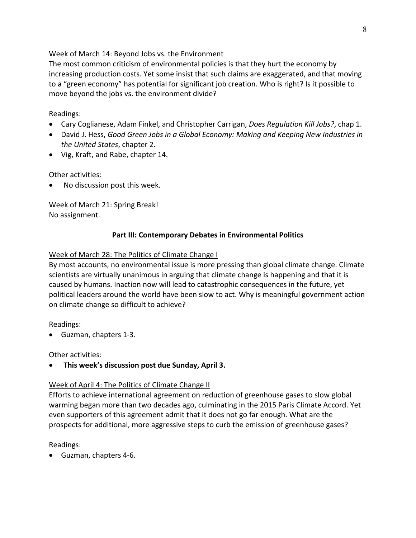# Week of March 14: Beyond Jobs vs. the Environment

The most common criticism of environmental policies is that they hurt the economy by increasing production costs. Yet some insist that such claims are exaggerated, and that moving to a "green economy" has potential for significant job creation. Who is right? Is it possible to move beyond the jobs vs. the environment divide?

# Readings:

- Cary Coglianese, Adam Finkel, and Christopher Carrigan, *Does Regulation Kill Jobs?*, chap 1.
- David J. Hess, *Good Green Jobs in a Global Economy: Making and Keeping New Industries in the United States*, chapter 2.
- Vig, Kraft, and Rabe, chapter 14.

# Other activities:

No discussion post this week.

# Week of March 21: Spring Break!

No assignment.

# **Part III: Contemporary Debates in Environmental Politics**

# Week of March 28: The Politics of Climate Change I

By most accounts, no environmental issue is more pressing than global climate change. Climate scientists are virtually unanimous in arguing that climate change is happening and that it is caused by humans. Inaction now will lead to catastrophic consequences in the future, yet political leaders around the world have been slow to act. Why is meaningful government action on climate change so difficult to achieve?

# Readings:

● Guzman, chapters 1-3.

# Other activities:

**This week's discussion post due Sunday, April 3.**

# Week of April 4: The Politics of Climate Change II

Efforts to achieve international agreement on reduction of greenhouse gases to slow global warming began more than two decades ago, culminating in the 2015 Paris Climate Accord. Yet even supporters of this agreement admit that it does not go far enough. What are the prospects for additional, more aggressive steps to curb the emission of greenhouse gases?

# Readings:

Guzman, chapters 4‐6.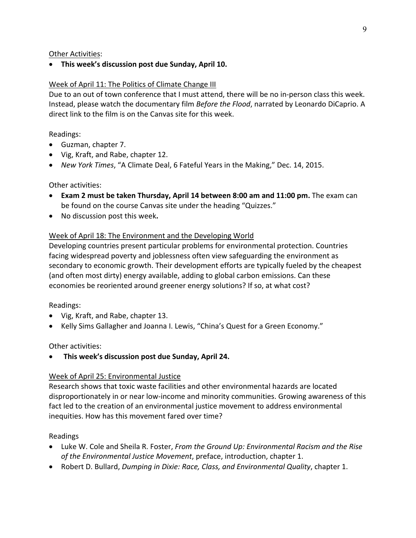## Other Activities:

**This week's discussion post due Sunday, April 10.** 

## Week of April 11: The Politics of Climate Change III

Due to an out of town conference that I must attend, there will be no in-person class this week. Instead, please watch the documentary film *Before the Flood*, narrated by Leonardo DiCaprio. A direct link to the film is on the Canvas site for this week.

## Readings:

- Guzman, chapter 7.
- Vig, Kraft, and Rabe, chapter 12.
- *New York Times*, "A Climate Deal, 6 Fateful Years in the Making," Dec. 14, 2015.

## Other activities:

- **Exam 2 must be taken Thursday, April 14 between 8:00 am and 11:00 pm.** The exam can be found on the course Canvas site under the heading "Quizzes."
- No discussion post this week**.**

## Week of April 18: The Environment and the Developing World

Developing countries present particular problems for environmental protection. Countries facing widespread poverty and joblessness often view safeguarding the environment as secondary to economic growth. Their development efforts are typically fueled by the cheapest (and often most dirty) energy available, adding to global carbon emissions. Can these economies be reoriented around greener energy solutions? If so, at what cost?

## Readings:

- Vig, Kraft, and Rabe, chapter 13.
- Kelly Sims Gallagher and Joanna I. Lewis, "China's Quest for a Green Economy."

## Other activities:

**This week's discussion post due Sunday, April 24.**

## Week of April 25: Environmental Justice

Research shows that toxic waste facilities and other environmental hazards are located disproportionately in or near low‐income and minority communities. Growing awareness of this fact led to the creation of an environmental justice movement to address environmental inequities. How has this movement fared over time?

## Readings

- Luke W. Cole and Sheila R. Foster, *From the Ground Up: Environmental Racism and the Rise of the Environmental Justice Movement*, preface, introduction, chapter 1.
- Robert D. Bullard, *Dumping in Dixie: Race, Class, and Environmental Quality*, chapter 1.